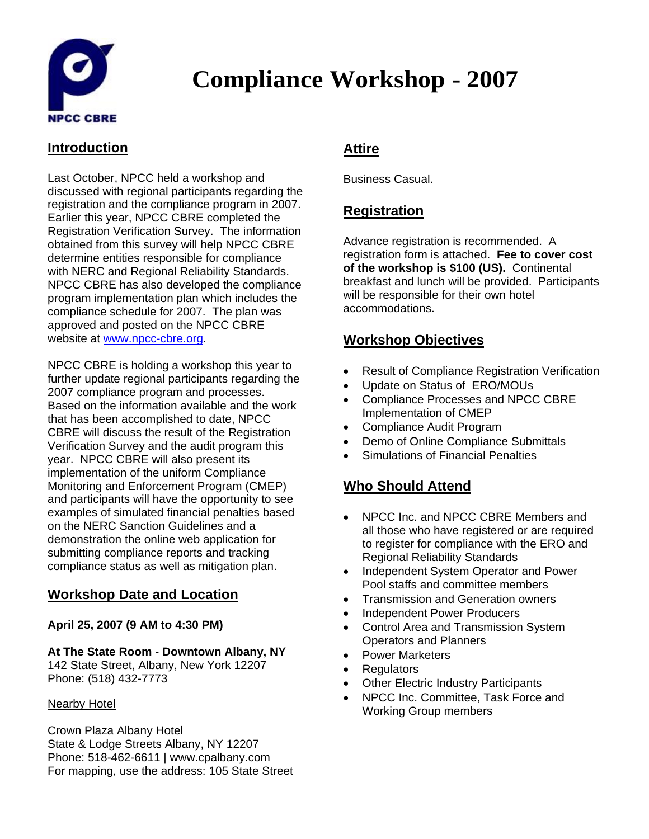

# **Compliance Workshop - 2007**

### **Introduction**

Last October, NPCC held a workshop and discussed with regional participants regarding the registration and the compliance program in 2007. Earlier this year, NPCC CBRE completed the Registration Verification Survey. The information obtained from this survey will help NPCC CBRE determine entities responsible for compliance with NERC and Regional Reliability Standards. NPCC CBRE has also developed the compliance program implementation plan which includes the compliance schedule for 2007. The plan was approved and posted on the NPCC CBRE website at [www.npcc-cbre.org.](http://www.npcc-cbre.org/)

NPCC CBRE is holding a workshop this year to further update regional participants regarding the 2007 compliance program and processes. Based on the information available and the work that has been accomplished to date, NPCC CBRE will discuss the result of the Registration Verification Survey and the audit program this year. NPCC CBRE will also present its implementation of the uniform Compliance Monitoring and Enforcement Program (CMEP) and participants will have the opportunity to see examples of simulated financial penalties based on the NERC Sanction Guidelines and a demonstration the online web application for submitting compliance reports and tracking compliance status as well as mitigation plan.

#### **Workshop Date and Location**

#### **April 25, 2007 (9 AM to 4:30 PM)**

#### **At The State Room - Downtown Albany, NY**

142 State Street, Albany, New York 12207 Phone: (518) 432-7773

#### Nearby Hotel

Crown Plaza Albany Hotel State & Lodge Streets Albany, NY 12207 Phone: 518-462-6611 | www.cpalbany.com For mapping, use the address: 105 State Street

### **Attire**

Business Casual.

### **Registration**

Advance registration is recommended. A registration form is attached. **Fee to cover cost of the workshop is \$100 (US).** Continental breakfast and lunch will be provided. Participants will be responsible for their own hotel accommodations.

### **Workshop Objectives**

- Result of Compliance Registration Verification
- Update on Status of ERO/MOUs
- Compliance Processes and NPCC CBRE Implementation of CMEP
- Compliance Audit Program
- Demo of Online Compliance Submittals
- Simulations of Financial Penalties

#### **Who Should Attend**

- NPCC Inc. and NPCC CBRE Members and all those who have registered or are required to register for compliance with the ERO and Regional Reliability Standards
- Independent System Operator and Power Pool staffs and committee members
- Transmission and Generation owners
- Independent Power Producers
- Control Area and Transmission System Operators and Planners
- Power Marketers
- **Regulators**
- Other Electric Industry Participants
- NPCC Inc. Committee, Task Force and Working Group members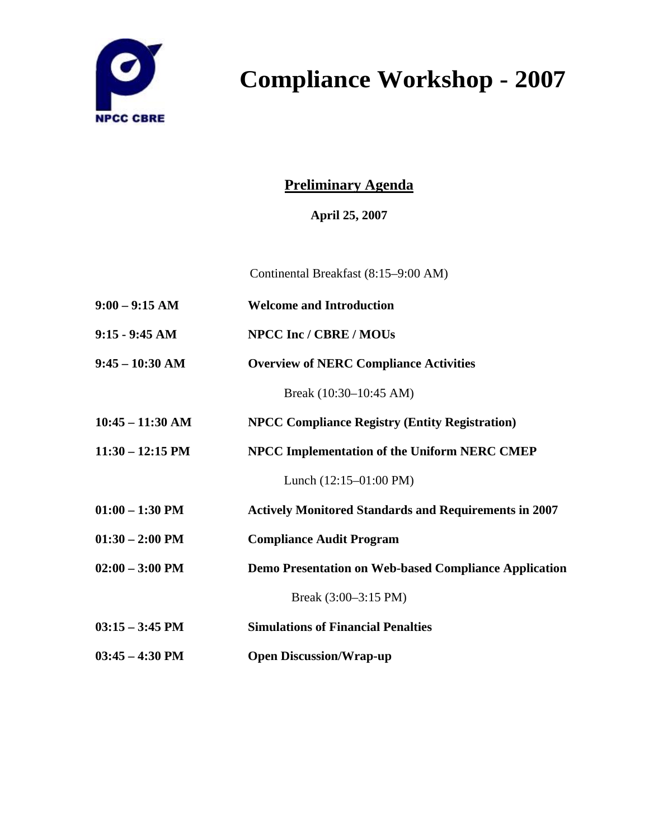

# **Compliance Workshop - 2007**

## **Preliminary Agenda**

**April 25, 2007** 

Continental Breakfast (8:15–9:00 AM)

- **9:00 9:15 AM Welcome and Introduction**
- **9:15 9:45 AM NPCC Inc / CBRE / MOUs**
- **9:45 10:30 AM Overview of NERC Compliance Activities**

Break (10:30–10:45 AM)

- **10:45 11:30 AM NPCC Compliance Registry (Entity Registration)**
- **11:30 12:15 PM NPCC Implementation of the Uniform NERC CMEP**

Lunch (12:15–01:00 PM)

- **01:00 1:30 PM Actively Monitored Standards and Requirements in 2007**
- **01:30 2:00 PM Compliance Audit Program**
- **02:00 3:00 PM Demo Presentation on Web-based Compliance Application**

Break (3:00–3:15 PM)

- **03:15 3:45 PM Simulations of Financial Penalties**
- **03:45 4:30 PM Open Discussion/Wrap-up**